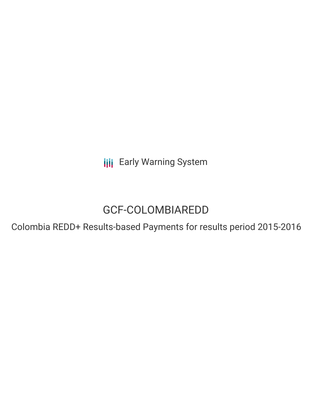**III** Early Warning System

# GCF-COLOMBIAREDD

Colombia REDD+ Results-based Payments for results period 2015-2016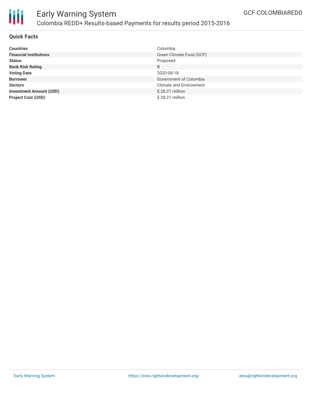

# **Quick Facts**

| <b>Countries</b>               | Colombia                       |
|--------------------------------|--------------------------------|
| <b>Financial Institutions</b>  | Green Climate Fund (GCF)       |
| <b>Status</b>                  | Proposed                       |
| <b>Bank Risk Rating</b>        | B                              |
| <b>Voting Date</b>             | 2020-08-18                     |
| <b>Borrower</b>                | Government of Colombia         |
| <b>Sectors</b>                 | <b>Climate and Environment</b> |
| <b>Investment Amount (USD)</b> | $$28.21$ million               |
| <b>Project Cost (USD)</b>      | \$28.21 million                |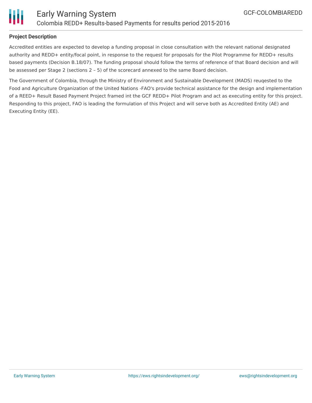



## **Project Description**

Accredited entities are expected to develop a funding proposal in close consultation with the relevant national designated authority and REDD+ entity/focal point, in response to the request for proposals for the Pilot Programme for REDD+ results based payments (Decision B.18/07). The funding proposal should follow the terms of reference of that Board decision and will be assessed per Stage 2 (sections 2 – 5) of the scorecard annexed to the same Board decision.

The Government of Colombia, through the Ministry of Environment and Sustainable Development (MADS) reuqested to the Food and Agriculture Organization of the United Nations -FAO's provide technical assistance for the design and implementation of a REED+ Result Based Payment Project framed int the GCF REDD+ Pilot Program and act as executing entity for this project. Responding to this project, FAO is leading the formulation of this Project and will serve both as Accredited Entity (AE) and Executing Entity (EE).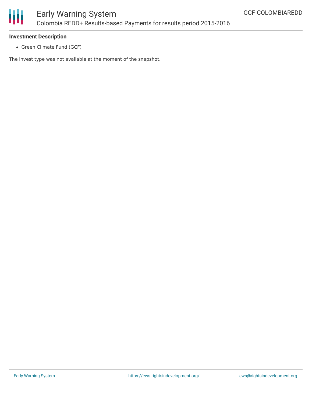

# **Investment Description**

Green Climate Fund (GCF)

The invest type was not available at the moment of the snapshot.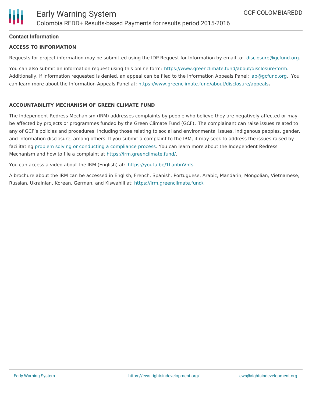# **Contact Information**

#### **ACCESS TO INFORMATION**

Requests for project information may be submitted using the IDP Request for Information by email to: [disclosure@gcfund.org](mailto:disclosure@gcfund.org).

You can also submit an information request using this online form: <https://www.greenclimate.fund/about/disclosure/form>. Additionally, if information requested is denied, an appeal can be filed to the Information Appeals Panel: [iap@gcfund.org](mailto:iap@gcfund.org). You can learn more about the Information Appeals Panel at: <https://www.greenclimate.fund/about/disclosure/appeals>**.**

## **ACCOUNTABILITY MECHANISM OF GREEN CLIMATE FUND**

The Independent Redress Mechanism (IRM) addresses complaints by people who believe they are negatively affected or may be affected by projects or programmes funded by the Green Climate Fund (GCF). The complainant can raise issues related to any of GCF's policies and procedures, including those relating to social and environmental issues, indigenous peoples, gender, and information disclosure, among others. If you submit a complaint to the IRM, it may seek to address the issues raised by facilitating problem solving or conducting a [compliance](https://irm.greenclimate.fund/about-the-irm/how-we-work) process. You can learn more about the Independent Redress Mechanism and how to file a complaint at <https://irm.greenclimate.fund/>.

You can access a video about the IRM (English) at: <https://youtu.be/1LanbriVhfs>.

A brochure about the IRM can be accessed in English, French, Spanish, Portuguese, Arabic, Mandarin, Mongolian, Vietnamese, Russian, Ukrainian, Korean, German, and Kiswahili at: <https://irm.greenclimate.fund/>.